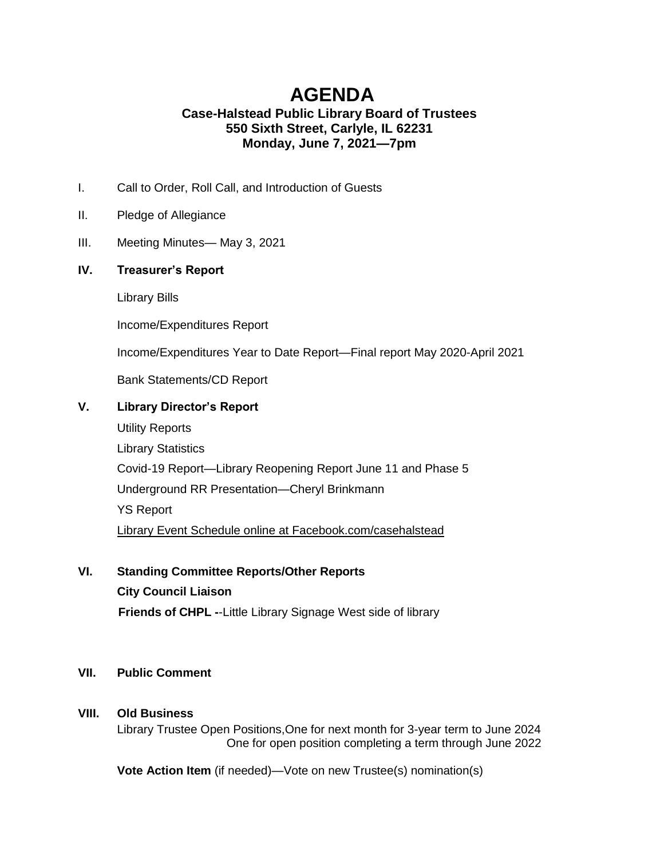# **AGENDA Case-Halstead Public Library Board of Trustees 550 Sixth Street, Carlyle, IL 62231 Monday, June 7, 2021—7pm**

- I. Call to Order, Roll Call, and Introduction of Guests
- II. Pledge of Allegiance
- III. Meeting Minutes— May 3, 2021

### **IV. Treasurer's Report**

Library Bills

Income/Expenditures Report

Income/Expenditures Year to Date Report—Final report May 2020-April 2021

Bank Statements/CD Report

### **V. Library Director's Report**

Utility Reports Library Statistics Covid-19 Report—Library Reopening Report June 11 and Phase 5 Underground RR Presentation—Cheryl Brinkmann YS Report Library Event Schedule online at Facebook.com/casehalstead

**VI. Standing Committee Reports/Other Reports City Council Liaison**

**Friends of CHPL -**-Little Library Signage West side of library

#### **VII. Public Comment**

#### **VIII. Old Business**

Library Trustee Open Positions,One for next month for 3-year term to June 2024 One for open position completing a term through June 2022

**Vote Action Item** (if needed)—Vote on new Trustee(s) nomination(s)